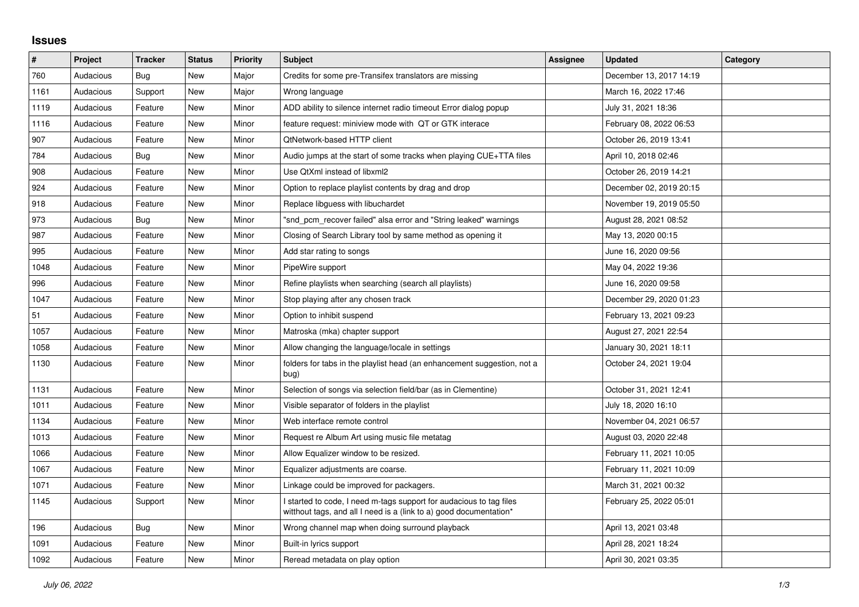## **Issues**

| #    | Project   | <b>Tracker</b> | <b>Status</b> | <b>Priority</b> | <b>Subject</b>                                                                                                                            | Assignee | <b>Updated</b>          | Category |
|------|-----------|----------------|---------------|-----------------|-------------------------------------------------------------------------------------------------------------------------------------------|----------|-------------------------|----------|
| 760  | Audacious | Bug            | <b>New</b>    | Major           | Credits for some pre-Transifex translators are missing                                                                                    |          | December 13, 2017 14:19 |          |
| 1161 | Audacious | Support        | <b>New</b>    | Major           | Wrong language                                                                                                                            |          | March 16, 2022 17:46    |          |
| 1119 | Audacious | Feature        | New           | Minor           | ADD ability to silence internet radio timeout Error dialog popup                                                                          |          | July 31, 2021 18:36     |          |
| 1116 | Audacious | Feature        | New           | Minor           | feature request: miniview mode with QT or GTK interace                                                                                    |          | February 08, 2022 06:53 |          |
| 907  | Audacious | Feature        | New           | Minor           | QtNetwork-based HTTP client                                                                                                               |          | October 26, 2019 13:41  |          |
| 784  | Audacious | Bug            | New           | Minor           | Audio jumps at the start of some tracks when playing CUE+TTA files                                                                        |          | April 10, 2018 02:46    |          |
| 908  | Audacious | Feature        | New           | Minor           | Use QtXml instead of libxml2                                                                                                              |          | October 26, 2019 14:21  |          |
| 924  | Audacious | Feature        | New           | Minor           | Option to replace playlist contents by drag and drop                                                                                      |          | December 02, 2019 20:15 |          |
| 918  | Audacious | Feature        | New           | Minor           | Replace libguess with libuchardet                                                                                                         |          | November 19, 2019 05:50 |          |
| 973  | Audacious | Bug            | New           | Minor           | "snd pcm recover failed" alsa error and "String leaked" warnings                                                                          |          | August 28, 2021 08:52   |          |
| 987  | Audacious | Feature        | New           | Minor           | Closing of Search Library tool by same method as opening it                                                                               |          | May 13, 2020 00:15      |          |
| 995  | Audacious | Feature        | New           | Minor           | Add star rating to songs                                                                                                                  |          | June 16, 2020 09:56     |          |
| 1048 | Audacious | Feature        | New           | Minor           | PipeWire support                                                                                                                          |          | May 04, 2022 19:36      |          |
| 996  | Audacious | Feature        | <b>New</b>    | Minor           | Refine playlists when searching (search all playlists)                                                                                    |          | June 16, 2020 09:58     |          |
| 1047 | Audacious | Feature        | New           | Minor           | Stop playing after any chosen track                                                                                                       |          | December 29, 2020 01:23 |          |
| 51   | Audacious | Feature        | New           | Minor           | Option to inhibit suspend                                                                                                                 |          | February 13, 2021 09:23 |          |
| 1057 | Audacious | Feature        | New           | Minor           | Matroska (mka) chapter support                                                                                                            |          | August 27, 2021 22:54   |          |
| 1058 | Audacious | Feature        | New           | Minor           | Allow changing the language/locale in settings                                                                                            |          | January 30, 2021 18:11  |          |
| 1130 | Audacious | Feature        | New           | Minor           | folders for tabs in the playlist head (an enhancement suggestion, not a<br>bug)                                                           |          | October 24, 2021 19:04  |          |
| 1131 | Audacious | Feature        | New           | Minor           | Selection of songs via selection field/bar (as in Clementine)                                                                             |          | October 31, 2021 12:41  |          |
| 1011 | Audacious | Feature        | New           | Minor           | Visible separator of folders in the playlist                                                                                              |          | July 18, 2020 16:10     |          |
| 1134 | Audacious | Feature        | New           | Minor           | Web interface remote control                                                                                                              |          | November 04, 2021 06:57 |          |
| 1013 | Audacious | Feature        | New           | Minor           | Request re Album Art using music file metatag                                                                                             |          | August 03, 2020 22:48   |          |
| 1066 | Audacious | Feature        | New           | Minor           | Allow Equalizer window to be resized.                                                                                                     |          | February 11, 2021 10:05 |          |
| 1067 | Audacious | Feature        | New           | Minor           | Equalizer adjustments are coarse.                                                                                                         |          | February 11, 2021 10:09 |          |
| 1071 | Audacious | Feature        | New           | Minor           | Linkage could be improved for packagers.                                                                                                  |          | March 31, 2021 00:32    |          |
| 1145 | Audacious | Support        | New           | Minor           | I started to code, I need m-tags support for audacious to tag files<br>witthout tags, and all I need is a (link to a) good documentation* |          | February 25, 2022 05:01 |          |
| 196  | Audacious | Bug            | New           | Minor           | Wrong channel map when doing surround playback                                                                                            |          | April 13, 2021 03:48    |          |
| 1091 | Audacious | Feature        | New           | Minor           | Built-in lyrics support                                                                                                                   |          | April 28, 2021 18:24    |          |
| 1092 | Audacious | Feature        | New           | Minor           | Reread metadata on play option                                                                                                            |          | April 30, 2021 03:35    |          |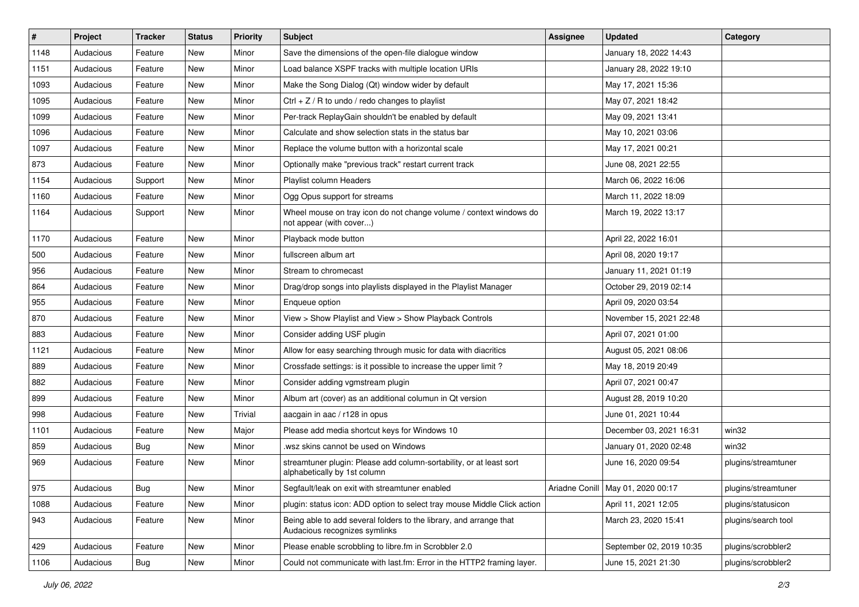| $\vert$ # | Project   | <b>Tracker</b> | <b>Status</b> | <b>Priority</b> | <b>Subject</b>                                                                                      | <b>Assignee</b> | <b>Updated</b>                      | Category            |
|-----------|-----------|----------------|---------------|-----------------|-----------------------------------------------------------------------------------------------------|-----------------|-------------------------------------|---------------------|
| 1148      | Audacious | Feature        | New           | Minor           | Save the dimensions of the open-file dialogue window                                                |                 | January 18, 2022 14:43              |                     |
| 1151      | Audacious | Feature        | New           | Minor           | Load balance XSPF tracks with multiple location URIs                                                |                 | January 28, 2022 19:10              |                     |
| 1093      | Audacious | Feature        | New           | Minor           | Make the Song Dialog (Qt) window wider by default                                                   |                 | May 17, 2021 15:36                  |                     |
| 1095      | Audacious | Feature        | New           | Minor           | Ctrl + $Z$ / R to undo / redo changes to playlist                                                   |                 | May 07, 2021 18:42                  |                     |
| 1099      | Audacious | Feature        | New           | Minor           | Per-track ReplayGain shouldn't be enabled by default                                                |                 | May 09, 2021 13:41                  |                     |
| 1096      | Audacious | Feature        | New           | Minor           | Calculate and show selection stats in the status bar                                                |                 | May 10, 2021 03:06                  |                     |
| 1097      | Audacious | Feature        | New           | Minor           | Replace the volume button with a horizontal scale                                                   |                 | May 17, 2021 00:21                  |                     |
| 873       | Audacious | Feature        | New           | Minor           | Optionally make "previous track" restart current track                                              |                 | June 08, 2021 22:55                 |                     |
| 1154      | Audacious | Support        | New           | Minor           | Playlist column Headers                                                                             |                 | March 06, 2022 16:06                |                     |
| 1160      | Audacious | Feature        | New           | Minor           | Ogg Opus support for streams                                                                        |                 | March 11, 2022 18:09                |                     |
| 1164      | Audacious | Support        | New           | Minor           | Wheel mouse on tray icon do not change volume / context windows do<br>not appear (with cover)       |                 | March 19, 2022 13:17                |                     |
| 1170      | Audacious | Feature        | New           | Minor           | Playback mode button                                                                                |                 | April 22, 2022 16:01                |                     |
| 500       | Audacious | Feature        | New           | Minor           | fullscreen album art                                                                                |                 | April 08, 2020 19:17                |                     |
| 956       | Audacious | Feature        | New           | Minor           | Stream to chromecast                                                                                |                 | January 11, 2021 01:19              |                     |
| 864       | Audacious | Feature        | New           | Minor           | Drag/drop songs into playlists displayed in the Playlist Manager                                    |                 | October 29, 2019 02:14              |                     |
| 955       | Audacious | Feature        | New           | Minor           | Enqueue option                                                                                      |                 | April 09, 2020 03:54                |                     |
| 870       | Audacious | Feature        | New           | Minor           | View > Show Playlist and View > Show Playback Controls                                              |                 | November 15, 2021 22:48             |                     |
| 883       | Audacious | Feature        | New           | Minor           | Consider adding USF plugin                                                                          |                 | April 07, 2021 01:00                |                     |
| 1121      | Audacious | Feature        | New           | Minor           | Allow for easy searching through music for data with diacritics                                     |                 | August 05, 2021 08:06               |                     |
| 889       | Audacious | Feature        | New           | Minor           | Crossfade settings: is it possible to increase the upper limit?                                     |                 | May 18, 2019 20:49                  |                     |
| 882       | Audacious | Feature        | New           | Minor           | Consider adding vgmstream plugin                                                                    |                 | April 07, 2021 00:47                |                     |
| 899       | Audacious | Feature        | New           | Minor           | Album art (cover) as an additional columun in Qt version                                            |                 | August 28, 2019 10:20               |                     |
| 998       | Audacious | Feature        | New           | Trivial         | aacgain in aac / r128 in opus                                                                       |                 | June 01, 2021 10:44                 |                     |
| 1101      | Audacious | Feature        | New           | Major           | Please add media shortcut keys for Windows 10                                                       |                 | December 03, 2021 16:31             | win32               |
| 859       | Audacious | <b>Bug</b>     | New           | Minor           | wsz skins cannot be used on Windows                                                                 |                 | January 01, 2020 02:48              | win32               |
| 969       | Audacious | Feature        | New           | Minor           | streamtuner plugin: Please add column-sortability, or at least sort<br>alphabetically by 1st column |                 | June 16, 2020 09:54                 | plugins/streamtuner |
| 975       | Audacious | Bug            | New           | Minor           | Segfault/leak on exit with streamtuner enabled                                                      |                 | Ariadne Conill   May 01, 2020 00:17 | plugins/streamtuner |
| 1088      | Audacious | Feature        | New           | Minor           | plugin: status icon: ADD option to select tray mouse Middle Click action                            |                 | April 11, 2021 12:05                | plugins/statusicon  |
| 943       | Audacious | Feature        | New           | Minor           | Being able to add several folders to the library, and arrange that<br>Audacious recognizes symlinks |                 | March 23, 2020 15:41                | plugins/search tool |
| 429       | Audacious | Feature        | New           | Minor           | Please enable scrobbling to libre.fm in Scrobbler 2.0                                               |                 | September 02, 2019 10:35            | plugins/scrobbler2  |
| 1106      | Audacious | Bug            | New           | Minor           | Could not communicate with last.fm: Error in the HTTP2 framing layer.                               |                 | June 15, 2021 21:30                 | plugins/scrobbler2  |